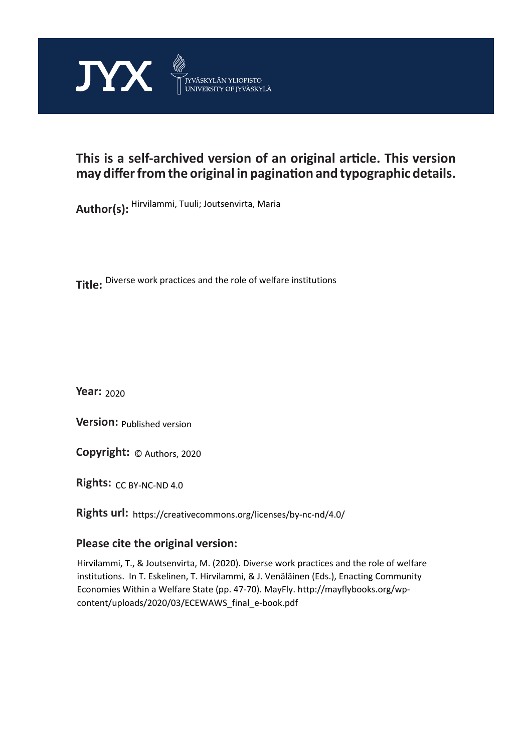

# **This is a self-archived version of an original article. This version may differ from the original in pagination and typographic details.**

**Author(s):**  Hirvilammi, Tuuli; Joutsenvirta, Maria

**Title:**  Diverse work practices and the role of welfare institutions

**Year:**  2020

**Version:**

**Version:** Published version<br>**Copyright:** © Authors, 2020

**Rights:** CC BY-NC-ND 4.0

**Rights url:**  https://creativecommons.org/licenses/by-nc-nd/4.0/

### **Please cite the original version:**

Hirvilammi, T., & Joutsenvirta, M. (2020). Diverse work practices and the role of welfare institutions. In T. Eskelinen, T. Hirvilammi, & J. Venäläinen (Eds.), Enacting Community Economies Within a Welfare State (pp. 47-70). MayFly. http://mayflybooks.org/wpcontent/uploads/2020/03/ECEWAWS\_final\_e-book.pdf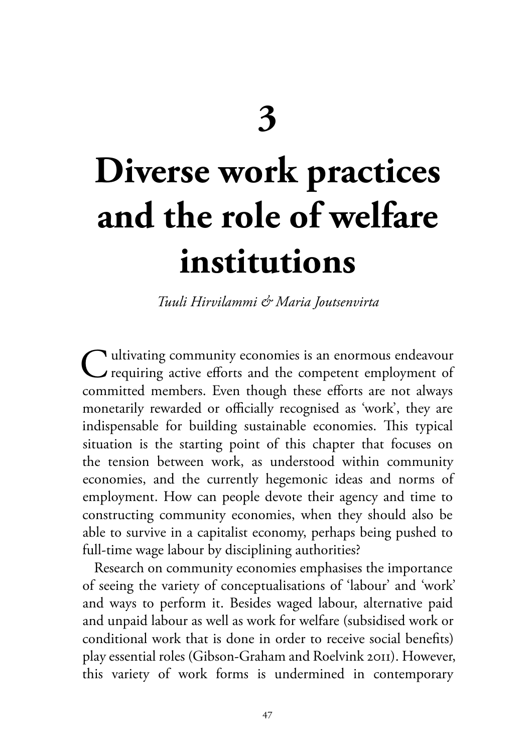# **Diverse work practices and the role of welfare institutions**

*Tuuli Hirvilammi & Maria Joutsenvirta*

 $\bigcap$  ultivating community economies is an enormous endeavour requiring active efforts and the competent employment of committed members. Even though these efforts are not always monetarily rewarded or officially recognised as 'work', they are indispensable for building sustainable economies. This typical situation is the starting point of this chapter that focuses on the tension between work, as understood within community economies, and the currently hegemonic ideas and norms of employment. How can people devote their agency and time to constructing community economies, when they should also be able to survive in a capitalist economy, perhaps being pushed to full-time wage labour by disciplining authorities?

Research on community economies emphasises the importance of seeing the variety of conceptualisations of 'labour' and 'work' and ways to perform it. Besides waged labour, alternative paid and unpaid labour as well as work for welfare (subsidised work or conditional work that is done in order to receive social benefits) play essential roles (Gibson-Graham and Roelvink 2011). However, this variety of work forms is undermined in contemporary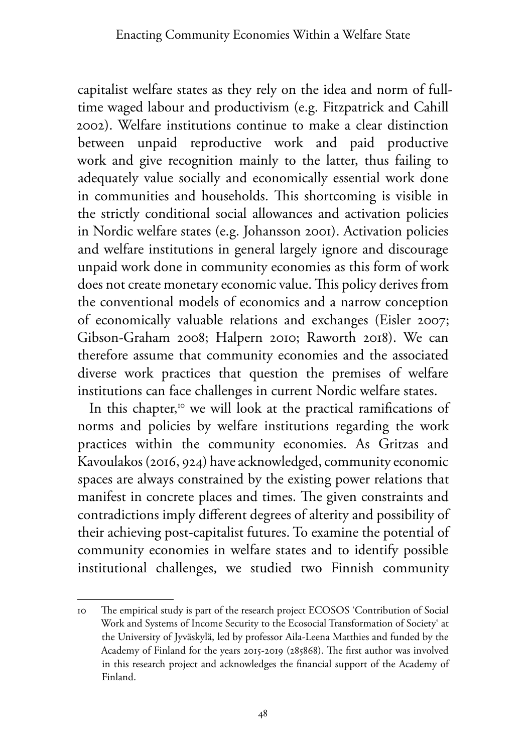capitalist welfare states as they rely on the idea and norm of fulltime waged labour and productivism (e.g. Fitzpatrick and Cahill 2002). Welfare institutions continue to make a clear distinction between unpaid reproductive work and paid productive work and give recognition mainly to the latter, thus failing to adequately value socially and economically essential work done in communities and households. This shortcoming is visible in the strictly conditional social allowances and activation policies in Nordic welfare states (e.g. Johansson 2001). Activation policies and welfare institutions in general largely ignore and discourage unpaid work done in community economies as this form of work does not create monetary economic value. This policy derives from the conventional models of economics and a narrow conception of economically valuable relations and exchanges (Eisler 2007; Gibson-Graham 2008; Halpern 2010; Raworth 2018). We can therefore assume that community economies and the associated diverse work practices that question the premises of welfare institutions can face challenges in current Nordic welfare states.

In this chapter,<sup>10</sup> we will look at the practical ramifications of norms and policies by welfare institutions regarding the work practices within the community economies. As Gritzas and Kavoulakos (2016, 924) have acknowledged, community economic spaces are always constrained by the existing power relations that manifest in concrete places and times. The given constraints and contradictions imply different degrees of alterity and possibility of their achieving post-capitalist futures. To examine the potential of community economies in welfare states and to identify possible institutional challenges, we studied two Finnish community

<sup>10</sup> The empirical study is part of the research project ECOSOS 'Contribution of Social Work and Systems of Income Security to the Ecosocial Transformation of Society' at the University of Jyväskylä, led by professor Aila-Leena Matthies and funded by the Academy of Finland for the years 2015-2019 (285868). The first author was involved in this research project and acknowledges the financial support of the Academy of Finland.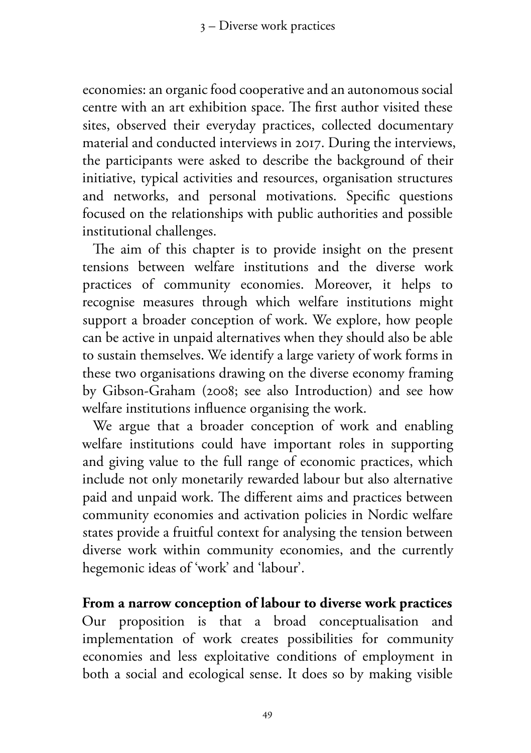economies: an organic food cooperative and an autonomous social centre with an art exhibition space. The first author visited these sites, observed their everyday practices, collected documentary material and conducted interviews in 2017. During the interviews, the participants were asked to describe the background of their initiative, typical activities and resources, organisation structures and networks, and personal motivations. Specific questions focused on the relationships with public authorities and possible institutional challenges.

The aim of this chapter is to provide insight on the present tensions between welfare institutions and the diverse work practices of community economies. Moreover, it helps to recognise measures through which welfare institutions might support a broader conception of work. We explore, how people can be active in unpaid alternatives when they should also be able to sustain themselves. We identify a large variety of work forms in these two organisations drawing on the diverse economy framing by Gibson-Graham (2008; see also Introduction) and see how welfare institutions influence organising the work.

We argue that a broader conception of work and enabling welfare institutions could have important roles in supporting and giving value to the full range of economic practices, which include not only monetarily rewarded labour but also alternative paid and unpaid work. The different aims and practices between community economies and activation policies in Nordic welfare states provide a fruitful context for analysing the tension between diverse work within community economies, and the currently hegemonic ideas of 'work' and 'labour'.

**From a narrow conception of labour to diverse work practices** Our proposition is that a broad conceptualisation and implementation of work creates possibilities for community economies and less exploitative conditions of employment in both a social and ecological sense. It does so by making visible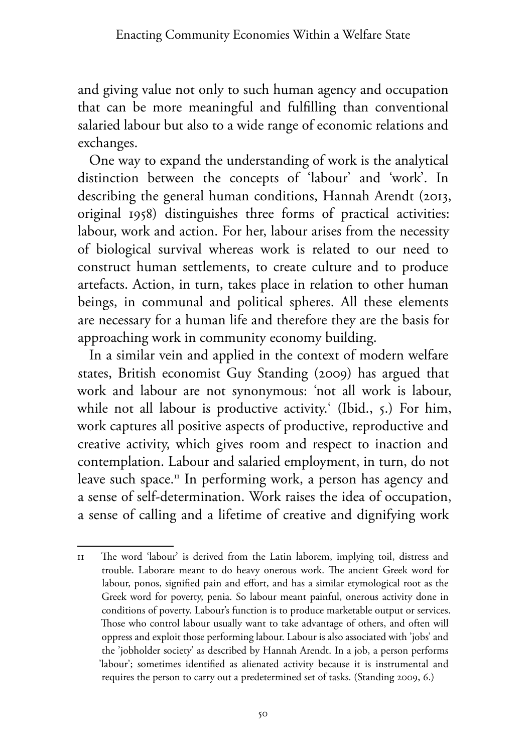and giving value not only to such human agency and occupation that can be more meaningful and fulfilling than conventional salaried labour but also to a wide range of economic relations and exchanges.

One way to expand the understanding of work is the analytical distinction between the concepts of 'labour' and 'work'. In describing the general human conditions, Hannah Arendt (2013, original 1958) distinguishes three forms of practical activities: labour, work and action. For her, labour arises from the necessity of biological survival whereas work is related to our need to construct human settlements, to create culture and to produce artefacts. Action, in turn, takes place in relation to other human beings, in communal and political spheres. All these elements are necessary for a human life and therefore they are the basis for approaching work in community economy building.

In a similar vein and applied in the context of modern welfare states, British economist Guy Standing (2009) has argued that work and labour are not synonymous: 'not all work is labour, while not all labour is productive activity.' (Ibid., 5.) For him, work captures all positive aspects of productive, reproductive and creative activity, which gives room and respect to inaction and contemplation. Labour and salaried employment, in turn, do not leave such space.11 In performing work, a person has agency and a sense of self-determination. Work raises the idea of occupation, a sense of calling and a lifetime of creative and dignifying work

<sup>11</sup> The word 'labour' is derived from the Latin laborem, implying toil, distress and trouble. Laborare meant to do heavy onerous work. The ancient Greek word for labour, ponos, signified pain and effort, and has a similar etymological root as the Greek word for poverty, penia. So labour meant painful, onerous activity done in conditions of poverty. Labour's function is to produce marketable output or services. Those who control labour usually want to take advantage of others, and often will oppress and exploit those performing labour. Labour is also associated with 'jobs' and the 'jobholder society' as described by Hannah Arendt. In a job, a person performs 'labour'; sometimes identified as alienated activity because it is instrumental and requires the person to carry out a predetermined set of tasks. (Standing 2009, 6.)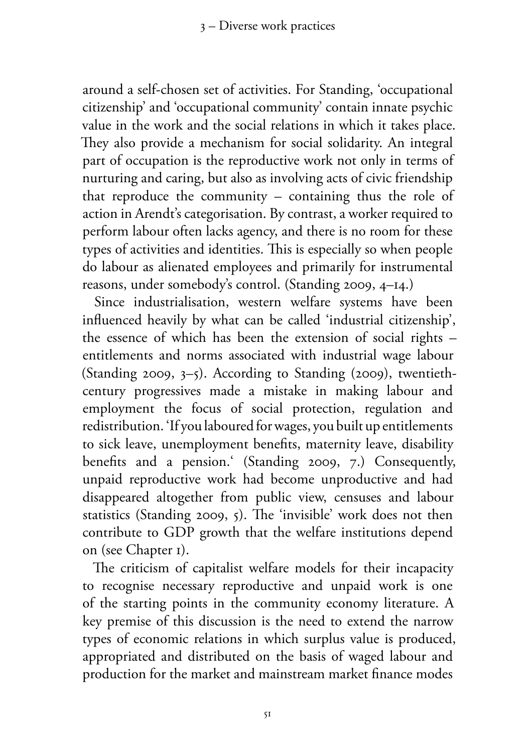around a self-chosen set of activities. For Standing, 'occupational citizenship' and 'occupational community' contain innate psychic value in the work and the social relations in which it takes place. They also provide a mechanism for social solidarity. An integral part of occupation is the reproductive work not only in terms of nurturing and caring, but also as involving acts of civic friendship that reproduce the community – containing thus the role of action in Arendt's categorisation. By contrast, a worker required to perform labour often lacks agency, and there is no room for these types of activities and identities. This is especially so when people do labour as alienated employees and primarily for instrumental reasons, under somebody's control. (Standing 2009, 4–14.)

Since industrialisation, western welfare systems have been influenced heavily by what can be called 'industrial citizenship', the essence of which has been the extension of social rights – entitlements and norms associated with industrial wage labour (Standing 2009, 3–5). According to Standing (2009), twentiethcentury progressives made a mistake in making labour and employment the focus of social protection, regulation and redistribution. 'If you laboured for wages, you built up entitlements to sick leave, unemployment benefits, maternity leave, disability benefits and a pension.' (Standing 2009, 7.) Consequently, unpaid reproductive work had become unproductive and had disappeared altogether from public view, censuses and labour statistics (Standing 2009, 5). The 'invisible' work does not then contribute to GDP growth that the welfare institutions depend on (see Chapter 1).

The criticism of capitalist welfare models for their incapacity to recognise necessary reproductive and unpaid work is one of the starting points in the community economy literature. A key premise of this discussion is the need to extend the narrow types of economic relations in which surplus value is produced, appropriated and distributed on the basis of waged labour and production for the market and mainstream market finance modes

51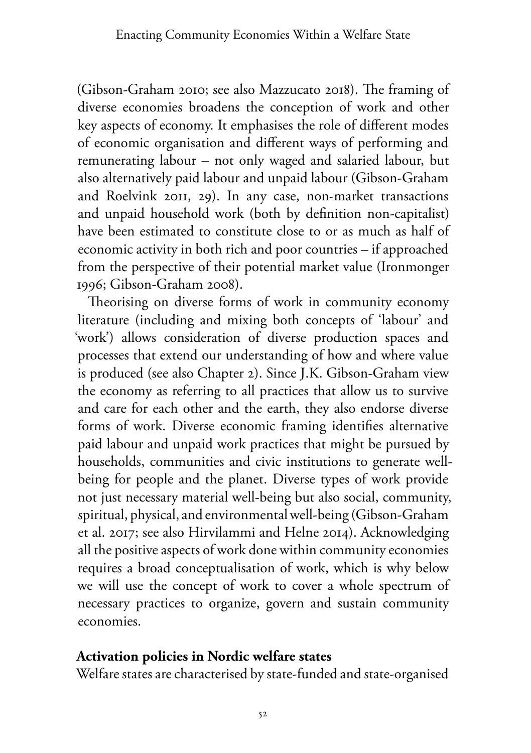(Gibson-Graham 2010; see also Mazzucato 2018). The framing of diverse economies broadens the conception of work and other key aspects of economy. It emphasises the role of different modes of economic organisation and different ways of performing and remunerating labour – not only waged and salaried labour, but also alternatively paid labour and unpaid labour (Gibson-Graham and Roelvink 2011, 29). In any case, non-market transactions and unpaid household work (both by definition non-capitalist) have been estimated to constitute close to or as much as half of economic activity in both rich and poor countries – if approached from the perspective of their potential market value (Ironmonger 1996; Gibson-Graham 2008).

Theorising on diverse forms of work in community economy literature (including and mixing both concepts of 'labour' and 'work') allows consideration of diverse production spaces and processes that extend our understanding of how and where value is produced (see also Chapter 2). Since J.K. Gibson-Graham view the economy as referring to all practices that allow us to survive and care for each other and the earth, they also endorse diverse forms of work. Diverse economic framing identifies alternative paid labour and unpaid work practices that might be pursued by households, communities and civic institutions to generate wellbeing for people and the planet. Diverse types of work provide not just necessary material well-being but also social, community, spiritual, physical, and environmental well-being (Gibson-Graham et al. 2017; see also Hirvilammi and Helne 2014). Acknowledging all the positive aspects of work done within community economies requires a broad conceptualisation of work, which is why below we will use the concept of work to cover a whole spectrum of necessary practices to organize, govern and sustain community economies.

#### **Activation policies in Nordic welfare states**

Welfare states are characterised by state-funded and state-organised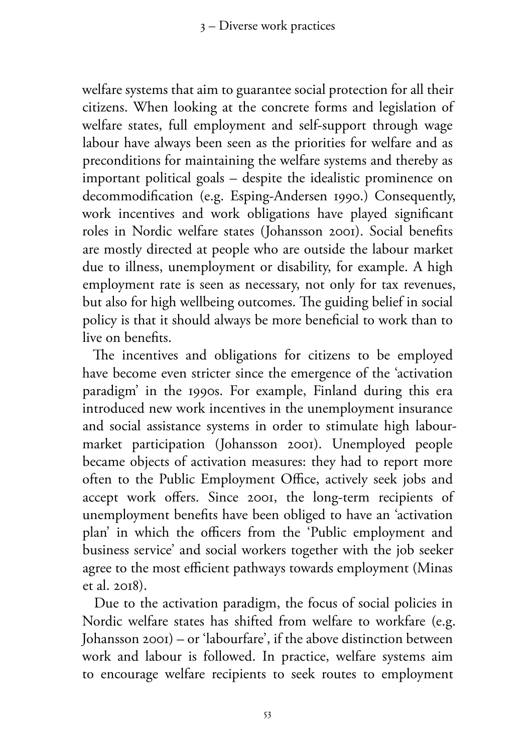welfare systems that aim to guarantee social protection for all their citizens. When looking at the concrete forms and legislation of welfare states, full employment and self-support through wage labour have always been seen as the priorities for welfare and as preconditions for maintaining the welfare systems and thereby as important political goals – despite the idealistic prominence on decommodification (e.g. Esping-Andersen 1990.) Consequently, work incentives and work obligations have played significant roles in Nordic welfare states (Johansson 2001). Social benefits are mostly directed at people who are outside the labour market due to illness, unemployment or disability, for example. A high employment rate is seen as necessary, not only for tax revenues, but also for high wellbeing outcomes. The guiding belief in social policy is that it should always be more beneficial to work than to live on benefits.

The incentives and obligations for citizens to be employed have become even stricter since the emergence of the 'activation paradigm' in the 1990s. For example, Finland during this era introduced new work incentives in the unemployment insurance and social assistance systems in order to stimulate high labourmarket participation (Johansson 2001). Unemployed people became objects of activation measures: they had to report more often to the Public Employment Office, actively seek jobs and accept work offers. Since 2001, the long-term recipients of unemployment benefits have been obliged to have an 'activation plan' in which the officers from the 'Public employment and business service' and social workers together with the job seeker agree to the most efficient pathways towards employment (Minas et al. 2018).

Due to the activation paradigm, the focus of social policies in Nordic welfare states has shifted from welfare to workfare (e.g. Johansson 2001) – or 'labourfare', if the above distinction between work and labour is followed. In practice, welfare systems aim to encourage welfare recipients to seek routes to employment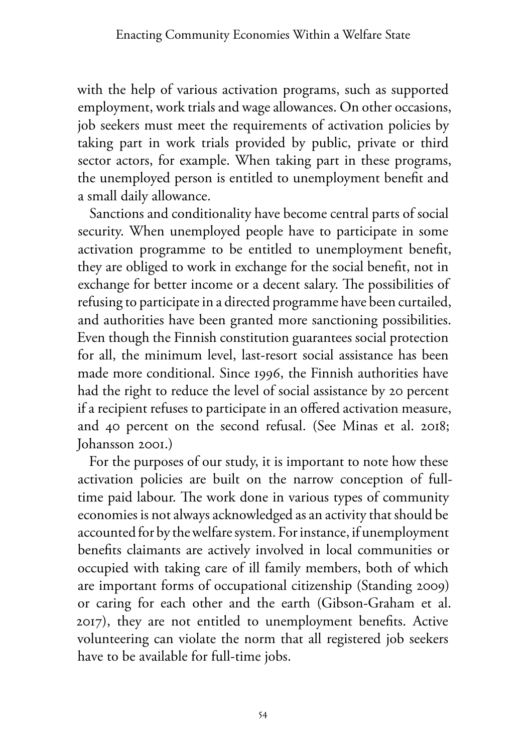with the help of various activation programs, such as supported employment, work trials and wage allowances. On other occasions, job seekers must meet the requirements of activation policies by taking part in work trials provided by public, private or third sector actors, for example. When taking part in these programs, the unemployed person is entitled to unemployment benefit and a small daily allowance.

Sanctions and conditionality have become central parts of social security. When unemployed people have to participate in some activation programme to be entitled to unemployment benefit, they are obliged to work in exchange for the social benefit, not in exchange for better income or a decent salary. The possibilities of refusing to participate in a directed programme have been curtailed, and authorities have been granted more sanctioning possibilities. Even though the Finnish constitution guarantees social protection for all, the minimum level, last-resort social assistance has been made more conditional. Since 1996, the Finnish authorities have had the right to reduce the level of social assistance by 20 percent if a recipient refuses to participate in an offered activation measure, and 40 percent on the second refusal. (See Minas et al. 2018; Johansson 2001.)

For the purposes of our study, it is important to note how these activation policies are built on the narrow conception of fulltime paid labour. The work done in various types of community economies is not always acknowledged as an activity that should be accounted for by the welfare system. For instance, if unemployment benefits claimants are actively involved in local communities or occupied with taking care of ill family members, both of which are important forms of occupational citizenship (Standing 2009) or caring for each other and the earth (Gibson-Graham et al. 2017), they are not entitled to unemployment benefits. Active volunteering can violate the norm that all registered job seekers have to be available for full-time jobs.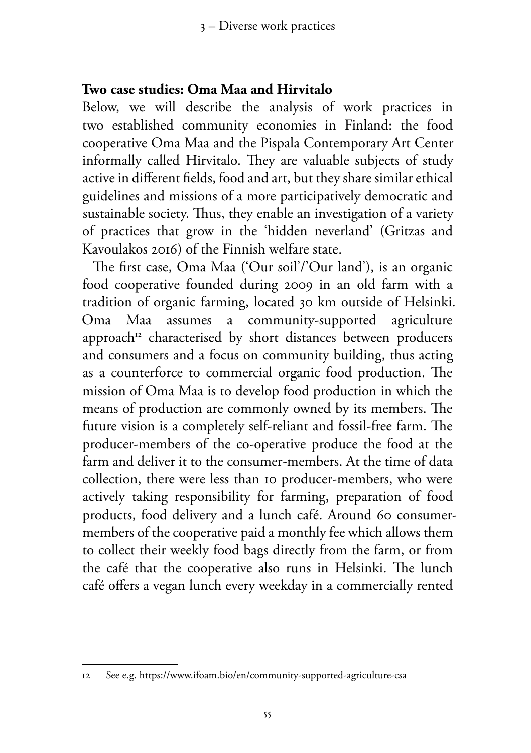#### **Two case studies: Oma Maa and Hirvitalo**

Below, we will describe the analysis of work practices in two established community economies in Finland: the food cooperative Oma Maa and the Pispala Contemporary Art Center informally called Hirvitalo. They are valuable subjects of study active in different fields, food and art, but they share similar ethical guidelines and missions of a more participatively democratic and sustainable society. Thus, they enable an investigation of a variety of practices that grow in the 'hidden neverland' (Gritzas and Kavoulakos 2016) of the Finnish welfare state.

The first case, Oma Maa ('Our soil'/'Our land'), is an organic food cooperative founded during 2009 in an old farm with a tradition of organic farming, located 30 km outside of Helsinki. Oma Maa assumes a community-supported agriculture approach<sup>12</sup> characterised by short distances between producers and consumers and a focus on community building, thus acting as a counterforce to commercial organic food production. The mission of Oma Maa is to develop food production in which the means of production are commonly owned by its members. The future vision is a completely self-reliant and fossil-free farm. The producer-members of the co-operative produce the food at the farm and deliver it to the consumer-members. At the time of data collection, there were less than 10 producer-members, who were actively taking responsibility for farming, preparation of food products, food delivery and a lunch café. Around 60 consumermembers of the cooperative paid a monthly fee which allows them to collect their weekly food bags directly from the farm, or from the café that the cooperative also runs in Helsinki. The lunch café offers a vegan lunch every weekday in a commercially rented

<sup>12</sup> See e.g. https://www.ifoam.bio/en/community-supported-agriculture-csa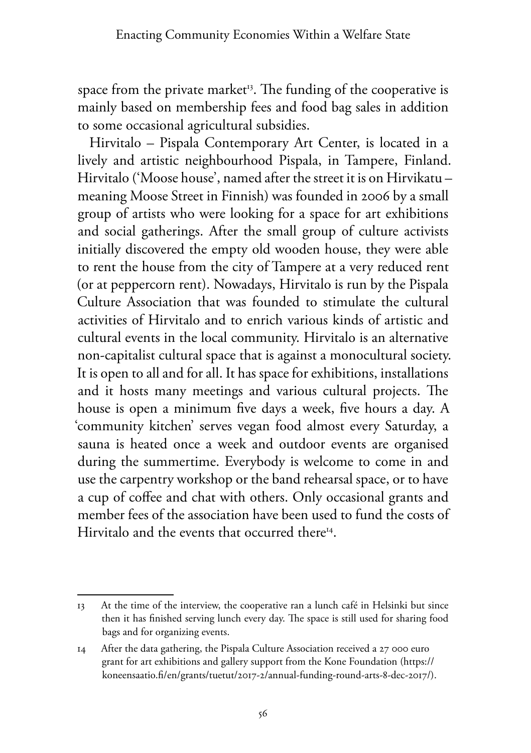space from the private market<sup>13</sup>. The funding of the cooperative is mainly based on membership fees and food bag sales in addition to some occasional agricultural subsidies.

Hirvitalo – Pispala Contemporary Art Center, is located in a lively and artistic neighbourhood Pispala, in Tampere, Finland. Hirvitalo ('Moose house', named after the street it is on Hirvikatu – meaning Moose Street in Finnish) was founded in 2006 by a small group of artists who were looking for a space for art exhibitions and social gatherings. After the small group of culture activists initially discovered the empty old wooden house, they were able to rent the house from the city of Tampere at a very reduced rent (or at peppercorn rent). Nowadays, Hirvitalo is run by the Pispala Culture Association that was founded to stimulate the cultural activities of Hirvitalo and to enrich various kinds of artistic and cultural events in the local community. Hirvitalo is an alternative non-capitalist cultural space that is against a monocultural society. It is open to all and for all. It has space for exhibitions, installations and it hosts many meetings and various cultural projects. The house is open a minimum five days a week, five hours a day. A 'community kitchen' serves vegan food almost every Saturday, a sauna is heated once a week and outdoor events are organised during the summertime. Everybody is welcome to come in and use the carpentry workshop or the band rehearsal space, or to have a cup of coffee and chat with others. Only occasional grants and member fees of the association have been used to fund the costs of Hirvitalo and the events that occurred there<sup>14</sup>.

<sup>13</sup> At the time of the interview, the cooperative ran a lunch café in Helsinki but since then it has finished serving lunch every day. The space is still used for sharing food bags and for organizing events.

<sup>14</sup> After the data gathering, the Pispala Culture Association received a 27 000 euro grant for art exhibitions and gallery support from the Kone Foundation (https:// koneensaatio.fi/en/grants/tuetut/2017-2/annual-funding-round-arts-8-dec-2017/).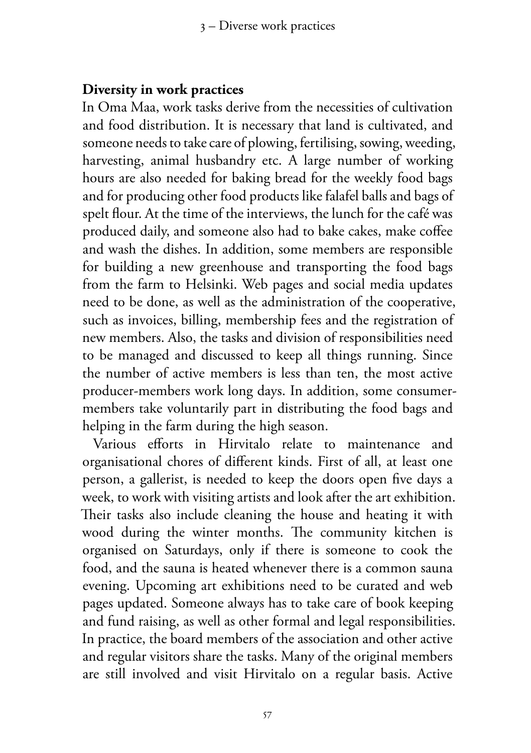#### **Diversity in work practices**

In Oma Maa, work tasks derive from the necessities of cultivation and food distribution. It is necessary that land is cultivated, and someone needs to take care of plowing, fertilising, sowing, weeding, harvesting, animal husbandry etc. A large number of working hours are also needed for baking bread for the weekly food bags and for producing other food products like falafel balls and bags of spelt flour. At the time of the interviews, the lunch for the café was produced daily, and someone also had to bake cakes, make coffee and wash the dishes. In addition, some members are responsible for building a new greenhouse and transporting the food bags from the farm to Helsinki. Web pages and social media updates need to be done, as well as the administration of the cooperative, such as invoices, billing, membership fees and the registration of new members. Also, the tasks and division of responsibilities need to be managed and discussed to keep all things running. Since the number of active members is less than ten, the most active producer-members work long days. In addition, some consumermembers take voluntarily part in distributing the food bags and helping in the farm during the high season.

Various efforts in Hirvitalo relate to maintenance and organisational chores of different kinds. First of all, at least one person, a gallerist, is needed to keep the doors open five days a week, to work with visiting artists and look after the art exhibition. Their tasks also include cleaning the house and heating it with wood during the winter months. The community kitchen is organised on Saturdays, only if there is someone to cook the food, and the sauna is heated whenever there is a common sauna evening. Upcoming art exhibitions need to be curated and web pages updated. Someone always has to take care of book keeping and fund raising, as well as other formal and legal responsibilities. In practice, the board members of the association and other active and regular visitors share the tasks. Many of the original members are still involved and visit Hirvitalo on a regular basis. Active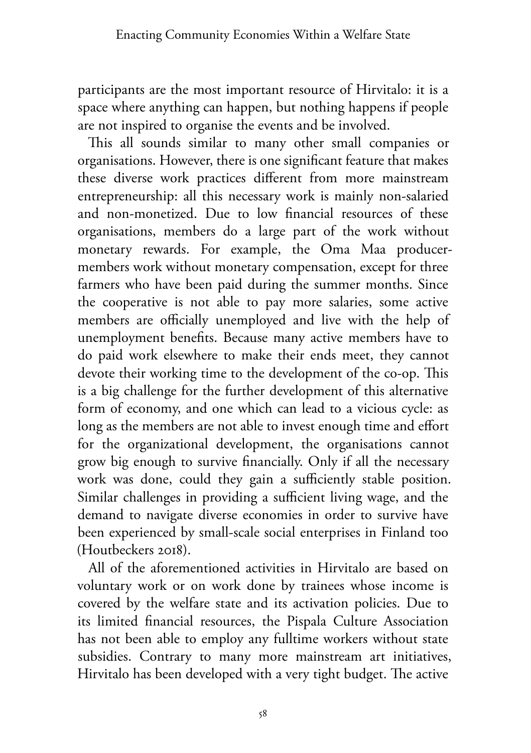participants are the most important resource of Hirvitalo: it is a space where anything can happen, but nothing happens if people are not inspired to organise the events and be involved.

This all sounds similar to many other small companies or organisations. However, there is one significant feature that makes these diverse work practices different from more mainstream entrepreneurship: all this necessary work is mainly non-salaried and non-monetized. Due to low financial resources of these organisations, members do a large part of the work without monetary rewards. For example, the Oma Maa producermembers work without monetary compensation, except for three farmers who have been paid during the summer months. Since the cooperative is not able to pay more salaries, some active members are officially unemployed and live with the help of unemployment benefits. Because many active members have to do paid work elsewhere to make their ends meet, they cannot devote their working time to the development of the co-op. This is a big challenge for the further development of this alternative form of economy, and one which can lead to a vicious cycle: as long as the members are not able to invest enough time and effort for the organizational development, the organisations cannot grow big enough to survive financially. Only if all the necessary work was done, could they gain a sufficiently stable position. Similar challenges in providing a sufficient living wage, and the demand to navigate diverse economies in order to survive have been experienced by small-scale social enterprises in Finland too (Houtbeckers 2018).

All of the aforementioned activities in Hirvitalo are based on voluntary work or on work done by trainees whose income is covered by the welfare state and its activation policies. Due to its limited financial resources, the Pispala Culture Association has not been able to employ any fulltime workers without state subsidies. Contrary to many more mainstream art initiatives, Hirvitalo has been developed with a very tight budget. The active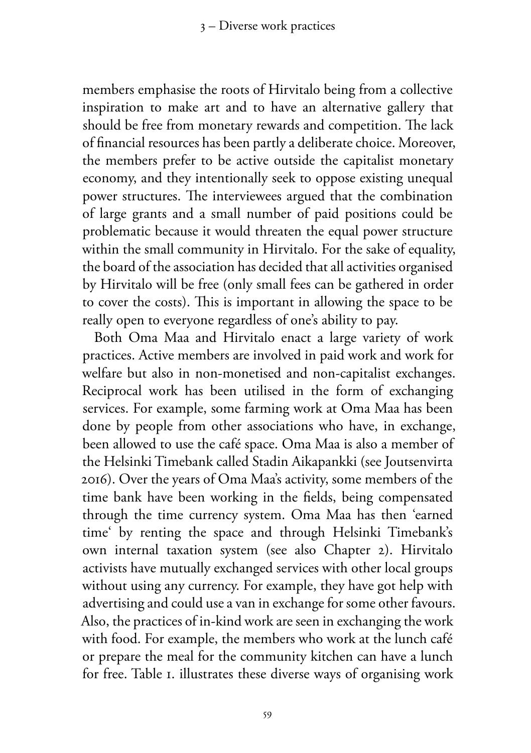members emphasise the roots of Hirvitalo being from a collective inspiration to make art and to have an alternative gallery that should be free from monetary rewards and competition. The lack of financial resources has been partly a deliberate choice. Moreover, the members prefer to be active outside the capitalist monetary economy, and they intentionally seek to oppose existing unequal power structures. The interviewees argued that the combination of large grants and a small number of paid positions could be problematic because it would threaten the equal power structure within the small community in Hirvitalo. For the sake of equality, the board of the association has decided that all activities organised by Hirvitalo will be free (only small fees can be gathered in order to cover the costs). This is important in allowing the space to be really open to everyone regardless of one's ability to pay.

Both Oma Maa and Hirvitalo enact a large variety of work practices. Active members are involved in paid work and work for welfare but also in non-monetised and non-capitalist exchanges. Reciprocal work has been utilised in the form of exchanging services. For example, some farming work at Oma Maa has been done by people from other associations who have, in exchange, been allowed to use the café space. Oma Maa is also a member of the Helsinki Timebank called Stadin Aikapankki (see Joutsenvirta 2016). Over the years of Oma Maa's activity, some members of the time bank have been working in the fields, being compensated through the time currency system. Oma Maa has then 'earned time' by renting the space and through Helsinki Timebank's own internal taxation system (see also Chapter 2). Hirvitalo activists have mutually exchanged services with other local groups without using any currency. For example, they have got help with advertising and could use a van in exchange for some other favours. Also, the practices of in-kind work are seen in exchanging the work with food. For example, the members who work at the lunch café or prepare the meal for the community kitchen can have a lunch for free. Table 1. illustrates these diverse ways of organising work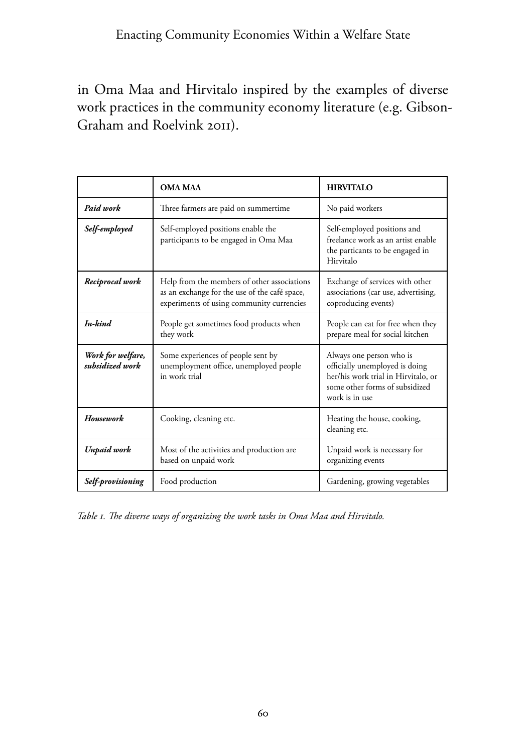in Oma Maa and Hirvitalo inspired by the examples of diverse work practices in the community economy literature (e.g. Gibson-Graham and Roelvink 2011).

|                                      | <b>OMA MAA</b>                                                                                                                            | <b>HIRVITALO</b>                                                                                                                                      |
|--------------------------------------|-------------------------------------------------------------------------------------------------------------------------------------------|-------------------------------------------------------------------------------------------------------------------------------------------------------|
| Paid work                            | Three farmers are paid on summertime                                                                                                      | No paid workers                                                                                                                                       |
| Self-employed                        | Self-employed positions enable the<br>participants to be engaged in Oma Maa                                                               | Self-employed positions and<br>freelance work as an artist enable<br>the particants to be engaged in<br>Hirvitalo                                     |
| Reciprocal work                      | Help from the members of other associations<br>as an exchange for the use of the café space,<br>experiments of using community currencies | Exchange of services with other<br>associations (car use, advertising,<br>coproducing events)                                                         |
| In-bind                              | People get sometimes food products when<br>they work                                                                                      | People can eat for free when they<br>prepare meal for social kitchen                                                                                  |
| Work for welfare,<br>subsidized work | Some experiences of people sent by<br>unemployment office, unemployed people<br>in work trial                                             | Always one person who is<br>officially unemployed is doing<br>her/his work trial in Hirvitalo, or<br>some other forms of subsidized<br>work is in use |
| <b>Housework</b>                     | Cooking, cleaning etc.                                                                                                                    | Heating the house, cooking,<br>cleaning etc.                                                                                                          |
| <b>Unpaid work</b>                   | Most of the activities and production are<br>based on unpaid work                                                                         | Unpaid work is necessary for<br>organizing events                                                                                                     |
| Self-provisioning                    | Food production                                                                                                                           | Gardening, growing vegetables                                                                                                                         |

*Table 1. The diverse ways of organizing the work tasks in Oma Maa and Hirvitalo.*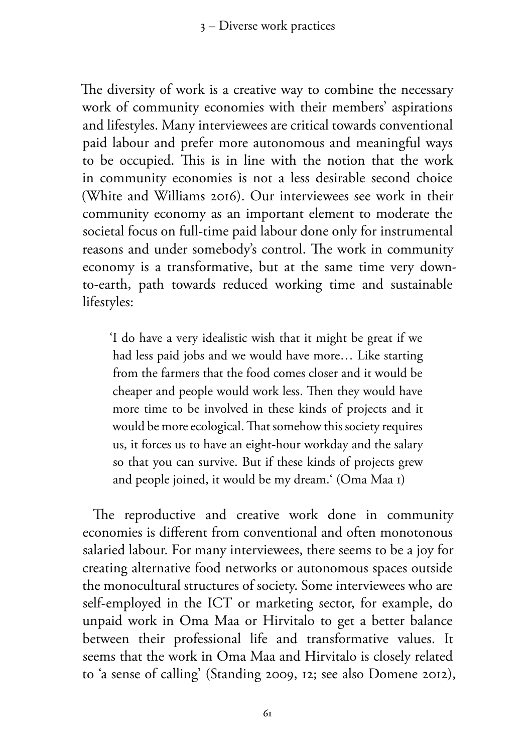The diversity of work is a creative way to combine the necessary work of community economies with their members' aspirations and lifestyles. Many interviewees are critical towards conventional paid labour and prefer more autonomous and meaningful ways to be occupied. This is in line with the notion that the work in community economies is not a less desirable second choice (White and Williams 2016). Our interviewees see work in their community economy as an important element to moderate the societal focus on full-time paid labour done only for instrumental reasons and under somebody's control. The work in community economy is a transformative, but at the same time very downto-earth, path towards reduced working time and sustainable lifestyles:

'I do have a very idealistic wish that it might be great if we had less paid jobs and we would have more… Like starting from the farmers that the food comes closer and it would be cheaper and people would work less. Then they would have more time to be involved in these kinds of projects and it would be more ecological. That somehow this society requires us, it forces us to have an eight-hour workday and the salary so that you can survive. But if these kinds of projects grew and people joined, it would be my dream.' (Oma Maa 1)

The reproductive and creative work done in community economies is different from conventional and often monotonous salaried labour. For many interviewees, there seems to be a joy for creating alternative food networks or autonomous spaces outside the monocultural structures of society. Some interviewees who are self-employed in the ICT or marketing sector, for example, do unpaid work in Oma Maa or Hirvitalo to get a better balance between their professional life and transformative values. It seems that the work in Oma Maa and Hirvitalo is closely related to 'a sense of calling' (Standing 2009, 12; see also Domene 2012),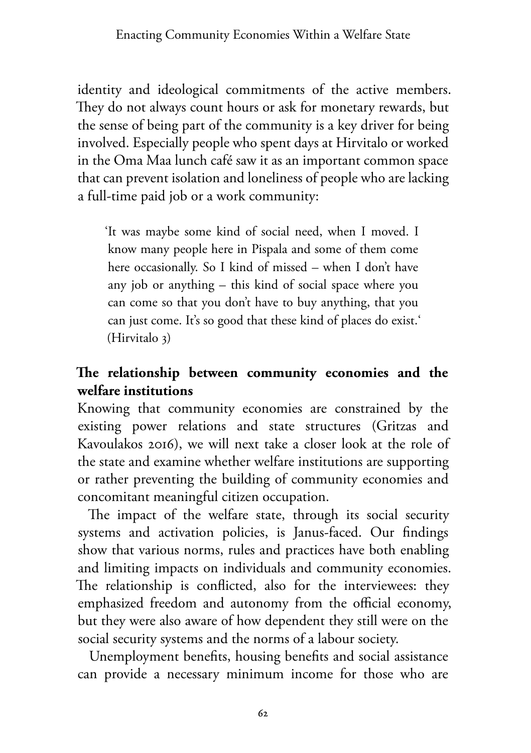identity and ideological commitments of the active members. They do not always count hours or ask for monetary rewards, but the sense of being part of the community is a key driver for being involved. Especially people who spent days at Hirvitalo or worked in the Oma Maa lunch café saw it as an important common space that can prevent isolation and loneliness of people who are lacking a full-time paid job or a work community:

'It was maybe some kind of social need, when I moved. I know many people here in Pispala and some of them come here occasionally. So I kind of missed – when I don't have any job or anything – this kind of social space where you can come so that you don't have to buy anything, that you can just come. It's so good that these kind of places do exist.' (Hirvitalo 3)

## **The relationship between community economies and the welfare institutions**

Knowing that community economies are constrained by the existing power relations and state structures (Gritzas and Kavoulakos 2016), we will next take a closer look at the role of the state and examine whether welfare institutions are supporting or rather preventing the building of community economies and concomitant meaningful citizen occupation.

The impact of the welfare state, through its social security systems and activation policies, is Janus-faced. Our findings show that various norms, rules and practices have both enabling and limiting impacts on individuals and community economies. The relationship is conflicted, also for the interviewees: they emphasized freedom and autonomy from the official economy, but they were also aware of how dependent they still were on the social security systems and the norms of a labour society.

Unemployment benefits, housing benefits and social assistance can provide a necessary minimum income for those who are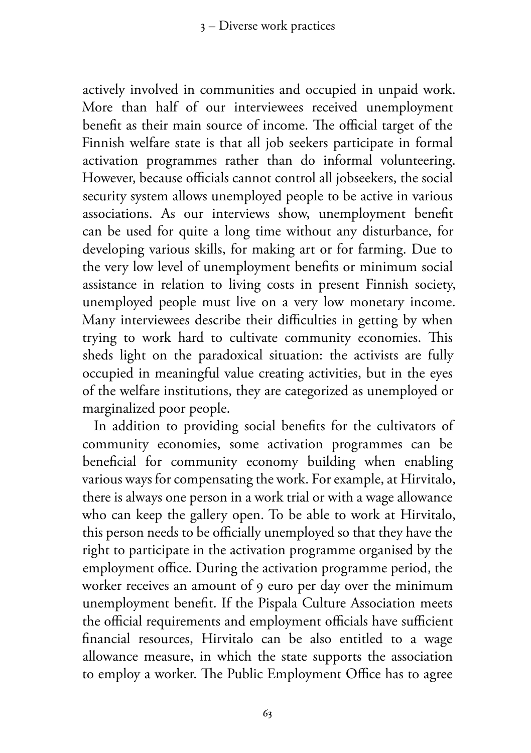actively involved in communities and occupied in unpaid work. More than half of our interviewees received unemployment benefit as their main source of income. The official target of the Finnish welfare state is that all job seekers participate in formal activation programmes rather than do informal volunteering. However, because officials cannot control all jobseekers, the social security system allows unemployed people to be active in various associations. As our interviews show, unemployment benefit can be used for quite a long time without any disturbance, for developing various skills, for making art or for farming. Due to the very low level of unemployment benefits or minimum social assistance in relation to living costs in present Finnish society, unemployed people must live on a very low monetary income. Many interviewees describe their difficulties in getting by when trying to work hard to cultivate community economies. This sheds light on the paradoxical situation: the activists are fully occupied in meaningful value creating activities, but in the eyes of the welfare institutions, they are categorized as unemployed or marginalized poor people.

In addition to providing social benefits for the cultivators of community economies, some activation programmes can be beneficial for community economy building when enabling various ways for compensating the work. For example, at Hirvitalo, there is always one person in a work trial or with a wage allowance who can keep the gallery open. To be able to work at Hirvitalo, this person needs to be officially unemployed so that they have the right to participate in the activation programme organised by the employment office. During the activation programme period, the worker receives an amount of 9 euro per day over the minimum unemployment benefit. If the Pispala Culture Association meets the official requirements and employment officials have sufficient financial resources, Hirvitalo can be also entitled to a wage allowance measure, in which the state supports the association to employ a worker. The Public Employment Office has to agree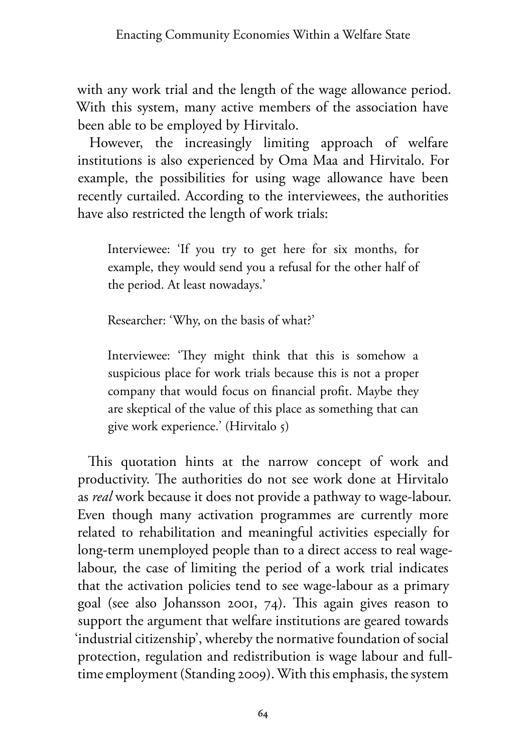with any work trial and the length of the wage allowance period. With this system, many active members of the association have been able to be employed by Hirvitalo.

However, the increasingly limiting approach of welfare institutions is also experienced by Oma Maa and Hirvitalo. For example, the possibilities for using wage allowance have been recently curtailed. According to the interviewees, the authorities have also restricted the length of work trials:

Interviewee: 'If you try to get here for six months, for example, they would send you a refusal for the other half of the period. At least nowadays.'

Researcher: 'Why, on the basis of what?'

Interviewee: 'They might think that this is somehow a suspicious place for work trials because this is not a proper company that would focus on financial profit. Maybe they are skeptical of the value of this place as something that can give work experience.' (Hirvitalo 5)

This quotation hints at the narrow concept of work and productivity. The authorities do not see work done at Hirvitalo as *real* work because it does not provide a pathway to wage-labour. Even though many activation programmes are currently more related to rehabilitation and meaningful activities especially for long-term unemployed people than to a direct access to real wagelabour, the case of limiting the period of a work trial indicates that the activation policies tend to see wage-labour as a primary goal (see also Johansson 2001, 74). This again gives reason to support the argument that welfare institutions are geared towards 'industrial citizenship', whereby the normative foundation of social protection, regulation and redistribution is wage labour and fulltime employment (Standing 2009). With this emphasis, the system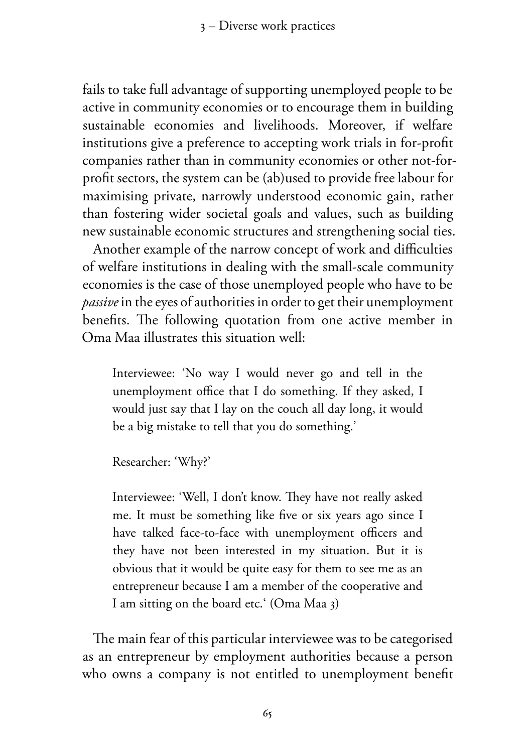3 – Diverse work practices

fails to take full advantage of supporting unemployed people to be active in community economies or to encourage them in building sustainable economies and livelihoods. Moreover, if welfare institutions give a preference to accepting work trials in for-profit companies rather than in community economies or other not-forprofit sectors, the system can be (ab)used to provide free labour for maximising private, narrowly understood economic gain, rather than fostering wider societal goals and values, such as building new sustainable economic structures and strengthening social ties.

Another example of the narrow concept of work and difficulties of welfare institutions in dealing with the small-scale community economies is the case of those unemployed people who have to be *passive* in the eyes of authorities in order to get their unemployment benefits. The following quotation from one active member in Oma Maa illustrates this situation well:

Interviewee: 'No way I would never go and tell in the unemployment office that I do something. If they asked, I would just say that I lay on the couch all day long, it would be a big mistake to tell that you do something.'

Researcher: 'Why?'

Interviewee: 'Well, I don't know. They have not really asked me. It must be something like five or six years ago since I have talked face-to-face with unemployment officers and they have not been interested in my situation. But it is obvious that it would be quite easy for them to see me as an entrepreneur because I am a member of the cooperative and I am sitting on the board etc.' (Oma Maa 3)

The main fear of this particular interviewee was to be categorised as an entrepreneur by employment authorities because a person who owns a company is not entitled to unemployment benefit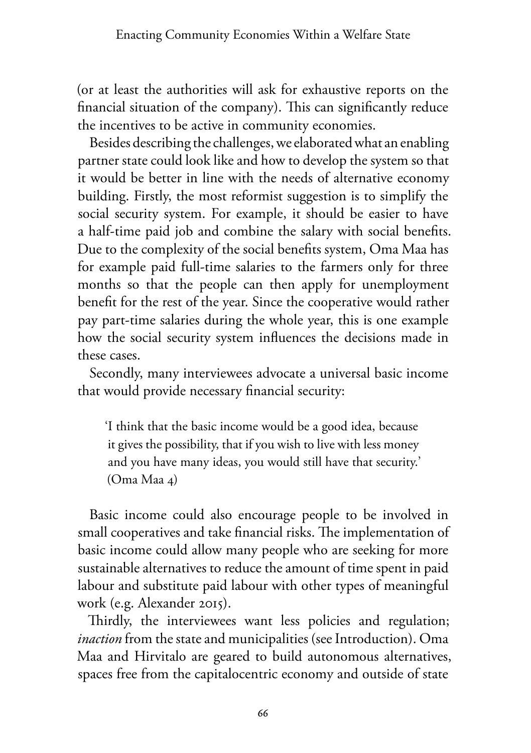(or at least the authorities will ask for exhaustive reports on the financial situation of the company). This can significantly reduce the incentives to be active in community economies.

Besides describing the challenges, we elaborated what an enabling partner state could look like and how to develop the system so that it would be better in line with the needs of alternative economy building. Firstly, the most reformist suggestion is to simplify the social security system. For example, it should be easier to have a half-time paid job and combine the salary with social benefits. Due to the complexity of the social benefits system, Oma Maa has for example paid full-time salaries to the farmers only for three months so that the people can then apply for unemployment benefit for the rest of the year. Since the cooperative would rather pay part-time salaries during the whole year, this is one example how the social security system influences the decisions made in these cases.

Secondly, many interviewees advocate a universal basic income that would provide necessary financial security:

'I think that the basic income would be a good idea, because it gives the possibility, that if you wish to live with less money and you have many ideas, you would still have that security.' (Oma Maa 4)

Basic income could also encourage people to be involved in small cooperatives and take financial risks. The implementation of basic income could allow many people who are seeking for more sustainable alternatives to reduce the amount of time spent in paid labour and substitute paid labour with other types of meaningful work (e.g. Alexander 2015).

Thirdly, the interviewees want less policies and regulation; *inaction* from the state and municipalities (see Introduction). Oma Maa and Hirvitalo are geared to build autonomous alternatives, spaces free from the capitalocentric economy and outside of state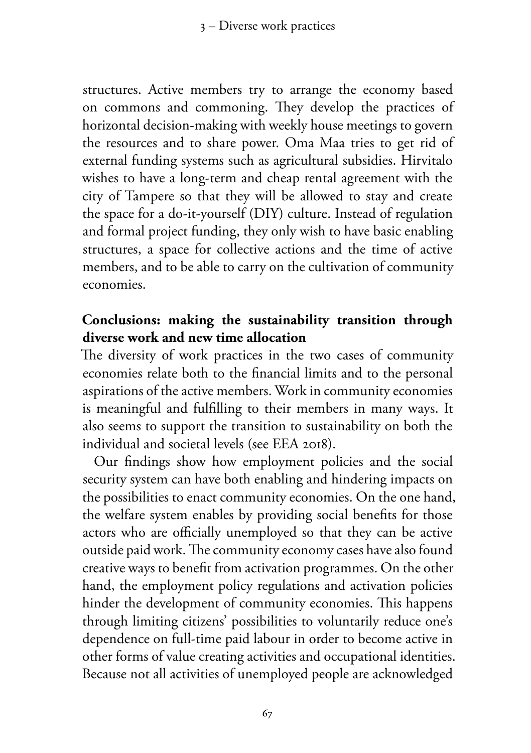structures. Active members try to arrange the economy based on commons and commoning. They develop the practices of horizontal decision-making with weekly house meetings to govern the resources and to share power. Oma Maa tries to get rid of external funding systems such as agricultural subsidies. Hirvitalo wishes to have a long-term and cheap rental agreement with the city of Tampere so that they will be allowed to stay and create the space for a do-it-yourself (DIY) culture. Instead of regulation and formal project funding, they only wish to have basic enabling structures, a space for collective actions and the time of active members, and to be able to carry on the cultivation of community economies.

#### **Conclusions: making the sustainability transition through diverse work and new time allocation**

The diversity of work practices in the two cases of community economies relate both to the financial limits and to the personal aspirations of the active members. Work in community economies is meaningful and fulfilling to their members in many ways. It also seems to support the transition to sustainability on both the individual and societal levels (see EEA 2018).

Our findings show how employment policies and the social security system can have both enabling and hindering impacts on the possibilities to enact community economies. On the one hand, the welfare system enables by providing social benefits for those actors who are officially unemployed so that they can be active outside paid work. The community economy cases have also found creative ways to benefit from activation programmes. On the other hand, the employment policy regulations and activation policies hinder the development of community economies. This happens through limiting citizens' possibilities to voluntarily reduce one's dependence on full-time paid labour in order to become active in other forms of value creating activities and occupational identities. Because not all activities of unemployed people are acknowledged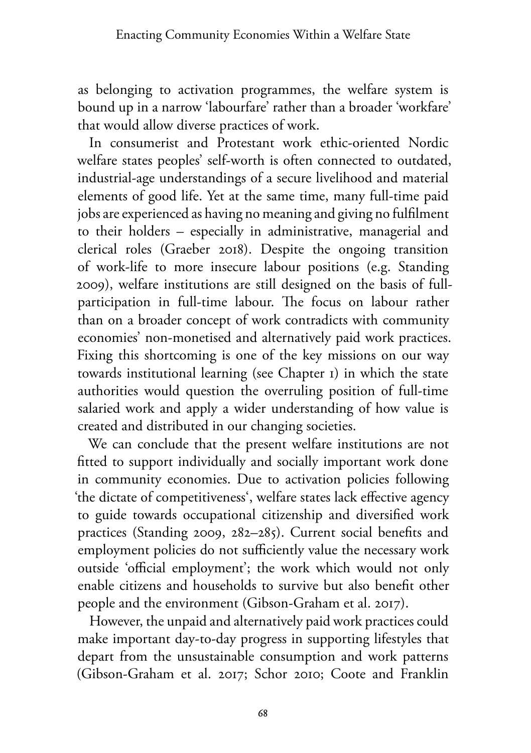as belonging to activation programmes, the welfare system is bound up in a narrow 'labourfare' rather than a broader 'workfare' that would allow diverse practices of work.

In consumerist and Protestant work ethic-oriented Nordic welfare states peoples' self-worth is often connected to outdated, industrial-age understandings of a secure livelihood and material elements of good life. Yet at the same time, many full-time paid jobs are experienced as having no meaning and giving no fulfilment to their holders – especially in administrative, managerial and clerical roles (Graeber 2018). Despite the ongoing transition of work-life to more insecure labour positions (e.g. Standing 2009), welfare institutions are still designed on the basis of fullparticipation in full-time labour. The focus on labour rather than on a broader concept of work contradicts with community economies' non-monetised and alternatively paid work practices. Fixing this shortcoming is one of the key missions on our way towards institutional learning (see Chapter 1) in which the state authorities would question the overruling position of full-time salaried work and apply a wider understanding of how value is created and distributed in our changing societies.

We can conclude that the present welfare institutions are not fitted to support individually and socially important work done in community economies. Due to activation policies following 'the dictate of competitiveness', welfare states lack effective agency to guide towards occupational citizenship and diversified work practices (Standing 2009, 282–285). Current social benefits and employment policies do not sufficiently value the necessary work outside 'official employment'; the work which would not only enable citizens and households to survive but also benefit other people and the environment (Gibson-Graham et al. 2017).

However, the unpaid and alternatively paid work practices could make important day-to-day progress in supporting lifestyles that depart from the unsustainable consumption and work patterns (Gibson-Graham et al. 2017; Schor 2010; Coote and Franklin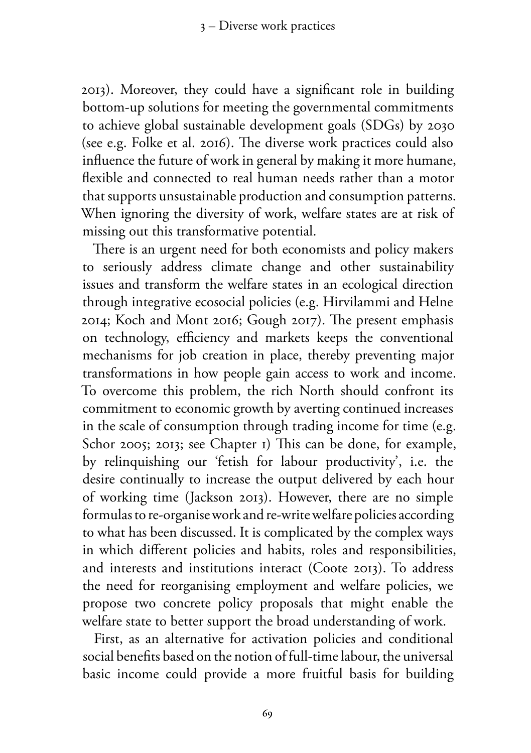2013). Moreover, they could have a significant role in building bottom-up solutions for meeting the governmental commitments to achieve global sustainable development goals (SDGs) by 2030 (see e.g. Folke et al. 2016). The diverse work practices could also influence the future of work in general by making it more humane, flexible and connected to real human needs rather than a motor that supports unsustainable production and consumption patterns. When ignoring the diversity of work, welfare states are at risk of missing out this transformative potential.

There is an urgent need for both economists and policy makers to seriously address climate change and other sustainability issues and transform the welfare states in an ecological direction through integrative ecosocial policies (e.g. Hirvilammi and Helne 2014; Koch and Mont 2016; Gough 2017). The present emphasis on technology, efficiency and markets keeps the conventional mechanisms for job creation in place, thereby preventing major transformations in how people gain access to work and income. To overcome this problem, the rich North should confront its commitment to economic growth by averting continued increases in the scale of consumption through trading income for time (e.g. Schor 2005; 2013; see Chapter 1) This can be done, for example, by relinquishing our 'fetish for labour productivity', i.e. the desire continually to increase the output delivered by each hour of working time (Jackson 2013). However, there are no simple formulas to re-organise work and re-write welfare policies according to what has been discussed. It is complicated by the complex ways in which different policies and habits, roles and responsibilities, and interests and institutions interact (Coote 2013). To address the need for reorganising employment and welfare policies, we propose two concrete policy proposals that might enable the welfare state to better support the broad understanding of work.

First, as an alternative for activation policies and conditional social benefits based on the notion of full-time labour, the universal basic income could provide a more fruitful basis for building

69